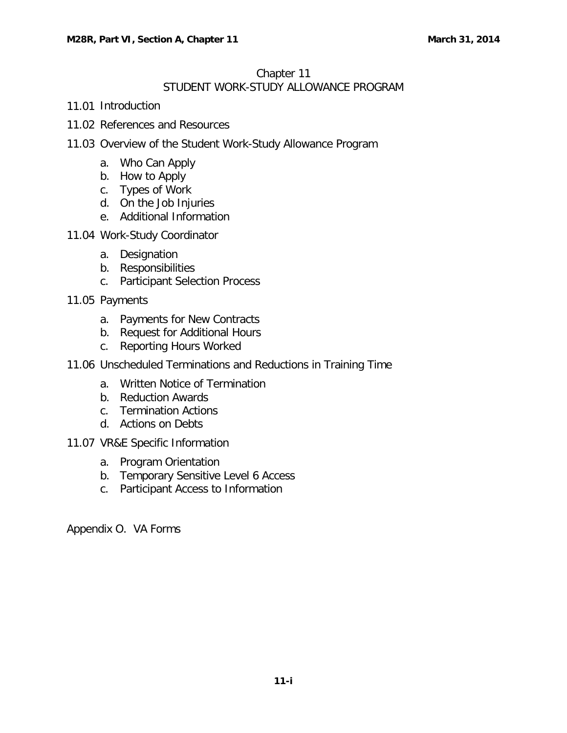# Chapter 11

# STUDENT WORK-STUDY ALLOWANCE PROGRAM

- 11.01 [Introduction](#page-1-0)
- 11.02 [References and Resources](#page-1-1)
- 11.03 [Overview of the Student Work-Study Allowance Program](#page-2-0)
	- a. [Who Can Apply](#page-2-1)
	- b. [How to Apply](#page-2-2)
	- c. [Types of Work](#page-2-3)
	- d. [On the Job Injuries](#page-3-0)
	- e. [Additional Information](#page-3-1)
- 11.04 [Work-Study Coordinator](#page-4-0)
	- a. [Designation](#page-4-1)
	- b. [Responsibilities](#page-4-2)
	- c. [Participant Selection Process](#page-5-0)
- 11.05 [Payments](#page-7-0)
	- a. [Payments for New Contracts](#page-7-1)
	- b. [Request for Additional Hours](#page-8-0)
	- c. [Reporting Hours Worked](#page-9-0)
- 11.06 [Unscheduled Terminations and Reductions in Training Time](#page-9-1)
	- a. [Written Notice of Termination](#page-9-2)
	- b. [Reduction Awards](#page-10-0)
	- c. [Termination Actions](#page-11-0)
	- d. [Actions on Debts](#page-12-0)
- 11.07 [VR&E Specific Information](#page-13-0)
	- a. [Program Orientation](#page-13-1)
	- b. [Temporary Sensitive Level 6 Access](#page-13-2)
	- c. [Participant Access to Information](#page-14-0)

Appendix O. VA Forms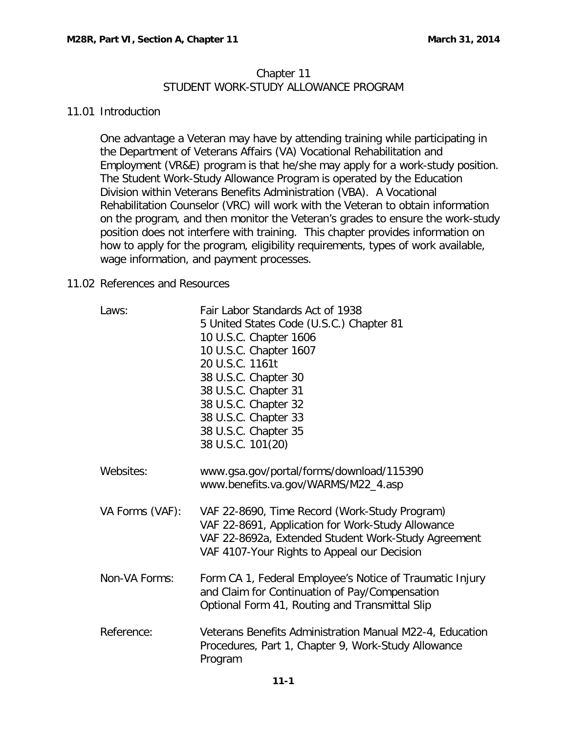#### Chapter 11 STUDENT WORK-STUDY ALLOWANCE PROGRAM

#### <span id="page-1-0"></span>11.01 Introduction

One advantage a Veteran may have by attending training while participating in the Department of Veterans Affairs (VA) Vocational Rehabilitation and Employment (VR&E) program is that he/she may apply for a work-study position. The Student Work-Study Allowance Program is operated by the Education Division within Veterans Benefits Administration (VBA). A Vocational Rehabilitation Counselor (VRC) will work with the Veteran to obtain information on the program, and then monitor the Veteran's grades to ensure the work-study position does not interfere with training. This chapter provides information on how to apply for the program, eligibility requirements, types of work available, wage information, and payment processes.

### <span id="page-1-1"></span>11.02 References and Resources

| Laws:           | Fair Labor Standards Act of 1938<br>5 United States Code (U.S.C.) Chapter 81<br>10 U.S.C. Chapter 1606<br>10 U.S.C. Chapter 1607<br>20 U.S.C. 1161t<br>38 U.S.C. Chapter 30<br>38 U.S.C. Chapter 31<br>38 U.S.C. Chapter 32<br>38 U.S.C. Chapter 33<br>38 U.S.C. Chapter 35<br>38 U.S.C. 101(20) |
|-----------------|--------------------------------------------------------------------------------------------------------------------------------------------------------------------------------------------------------------------------------------------------------------------------------------------------|
| Websites:       | www.gsa.gov/portal/forms/download/115390<br>www.benefits.va.gov/WARMS/M22_4.asp                                                                                                                                                                                                                  |
| VA Forms (VAF): | VAF 22-8690, Time Record (Work-Study Program)<br>VAF 22-8691, Application for Work-Study Allowance<br>VAF 22-8692a, Extended Student Work-Study Agreement<br>VAF 4107-Your Rights to Appeal our Decision                                                                                         |
| Non-VA Forms:   | Form CA 1, Federal Employee's Notice of Traumatic Injury<br>and Claim for Continuation of Pay/Compensation<br>Optional Form 41, Routing and Transmittal Slip                                                                                                                                     |
| Reference:      | Veterans Benefits Administration Manual M22-4, Education<br>Procedures, Part 1, Chapter 9, Work-Study Allowance<br>Program                                                                                                                                                                       |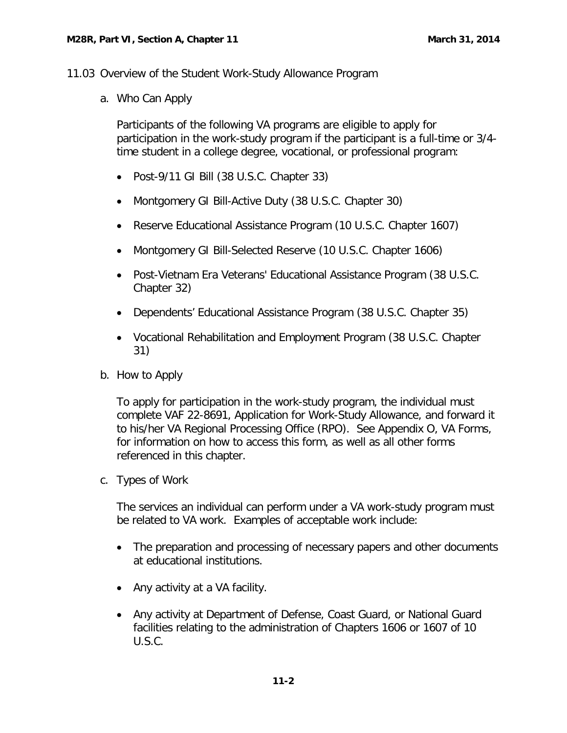- <span id="page-2-1"></span><span id="page-2-0"></span>11.03 Overview of the Student Work-Study Allowance Program
	- a. Who Can Apply

Participants of the following VA programs are eligible to apply for participation in the work-study program if the participant is a full-time or 3/4 time student in a college degree, vocational, or professional program:

- Post-9/11 GI Bill (38 U.S.C. Chapter 33)
- Montgomery GI Bill-Active Duty (38 U.S.C. Chapter 30)
- Reserve Educational Assistance Program (10 U.S.C. Chapter 1607)
- Montgomery GI Bill-Selected Reserve (10 U.S.C. Chapter 1606)
- Post-Vietnam Era Veterans' Educational Assistance Program (38 U.S.C. Chapter 32)
- Dependents' Educational Assistance Program (38 U.S.C. Chapter 35)
- Vocational Rehabilitation and Employment Program (38 U.S.C. Chapter 31)
- <span id="page-2-2"></span>b. How to Apply

To apply for participation in the work-study program, the individual must complete VAF 22-8691, Application for Work-Study Allowance, and forward it to his/her VA Regional Processing Office (RPO). See Appendix O, VA Forms, for information on how to access this form, as well as all other forms referenced in this chapter.

<span id="page-2-3"></span>c. Types of Work

The services an individual can perform under a VA work-study program must be related to VA work. Examples of acceptable work include:

- The preparation and processing of necessary papers and other documents at educational institutions.
- Any activity at a VA facility.
- Any activity at Department of Defense, Coast Guard, or National Guard facilities relating to the administration of Chapters 1606 or 1607 of 10 U.S.C.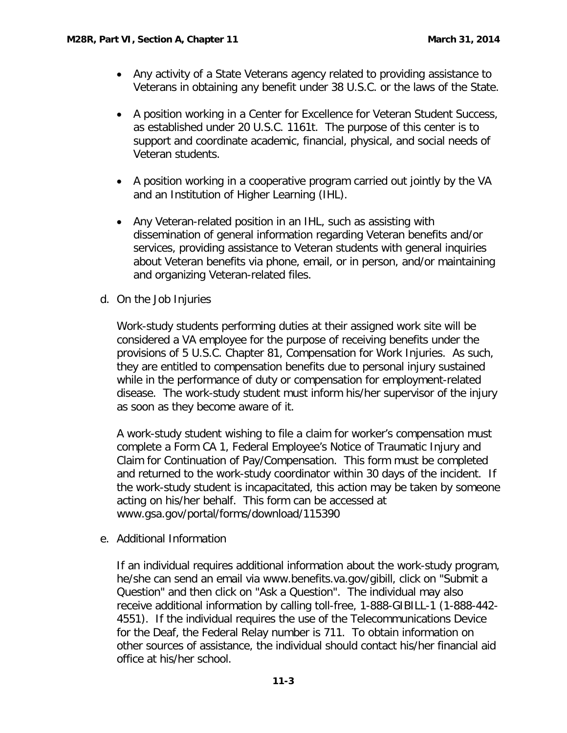- Any activity of a State Veterans agency related to providing assistance to Veterans in obtaining any benefit under 38 U.S.C. or the laws of the State.
- A position working in a Center for Excellence for Veteran Student Success, as established under 20 U.S.C. 1161t. The purpose of this center is to support and coordinate academic, financial, physical, and social needs of Veteran students.
- A position working in a cooperative program carried out jointly by the VA and an Institution of Higher Learning (IHL).
- Any Veteran-related position in an IHL, such as assisting with dissemination of general information regarding Veteran benefits and/or services, providing assistance to Veteran students with general inquiries about Veteran benefits via phone, email, or in person, and/or maintaining and organizing Veteran-related files.
- <span id="page-3-0"></span>d. On the Job Injuries

Work-study students performing duties at their assigned work site will be considered a VA employee for the purpose of receiving benefits under the provisions of 5 U.S.C. Chapter 81, Compensation for Work Injuries. As such, they are entitled to compensation benefits due to personal injury sustained while in the performance of duty or compensation for employment-related disease. The work-study student must inform his/her supervisor of the injury as soon as they become aware of it.

A work-study student wishing to file a claim for worker's compensation must complete a Form CA 1, Federal Employee's Notice of Traumatic Injury and Claim for Continuation of Pay/Compensation. This form must be completed and returned to the work-study coordinator within 30 days of the incident. If the work-study student is incapacitated, this action may be taken by someone acting on his/her behalf. This form can be accessed at [www.gsa.gov/portal/forms/download/115390](http://www.gsa.gov/portal/forms/download/115390)

<span id="page-3-1"></span>e. Additional Information

If an individual requires additional information about the work-study program, he/she can send an email via [www.benefits.va.gov/gibill,](http://www.benefits.va.gov/gibill) click on "Submit a Question" and then click on "Ask a Question". The individual may also receive additional information by calling toll-free, 1-888-GIBILL-1 (1-888-442- 4551). If the individual requires the use of the Telecommunications Device for the Deaf, the Federal Relay number is 711. To obtain information on other sources of assistance, the individual should contact his/her financial aid office at his/her school.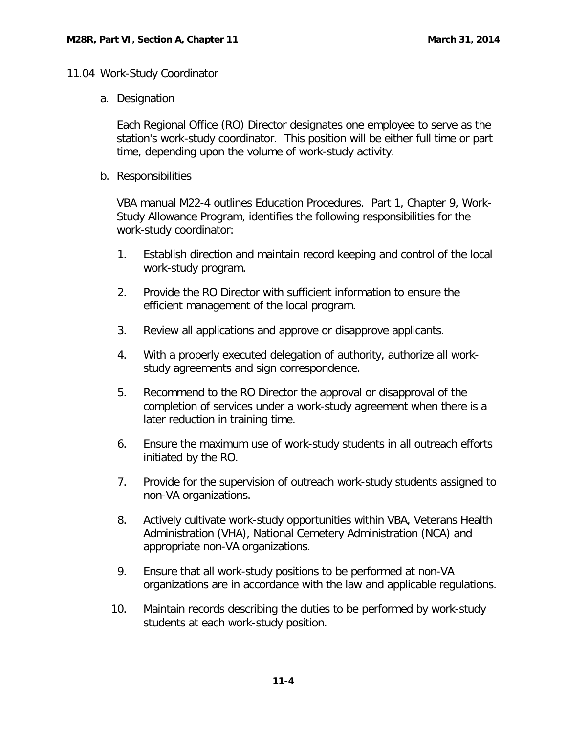#### <span id="page-4-1"></span><span id="page-4-0"></span>11.04 Work-Study Coordinator

### a. Designation

Each Regional Office (RO) Director designates one employee to serve as the station's work-study coordinator. This position will be either full time or part time, depending upon the volume of work-study activity.

<span id="page-4-2"></span>b. Responsibilities

VBA manual M22-4 outlines Education Procedures. Part 1, Chapter 9, Work-Study Allowance Program, identifies the following responsibilities for the work-study coordinator:

- 1. Establish direction and maintain record keeping and control of the local work-study program.
- 2. Provide the RO Director with sufficient information to ensure the efficient management of the local program.
- 3. Review all applications and approve or disapprove applicants.
- 4. With a properly executed delegation of authority, authorize all workstudy agreements and sign correspondence.
- 5. Recommend to the RO Director the approval or disapproval of the completion of services under a work-study agreement when there is a later reduction in training time.
- 6. Ensure the maximum use of work-study students in all outreach efforts initiated by the RO.
- 7. Provide for the supervision of outreach work-study students assigned to non-VA organizations.
- 8. Actively cultivate work-study opportunities within VBA, Veterans Health Administration (VHA), National Cemetery Administration (NCA) and appropriate non-VA organizations.
- 9. Ensure that all work-study positions to be performed at non-VA organizations are in accordance with the law and applicable regulations.
- 10. Maintain records describing the duties to be performed by work-study students at each work-study position.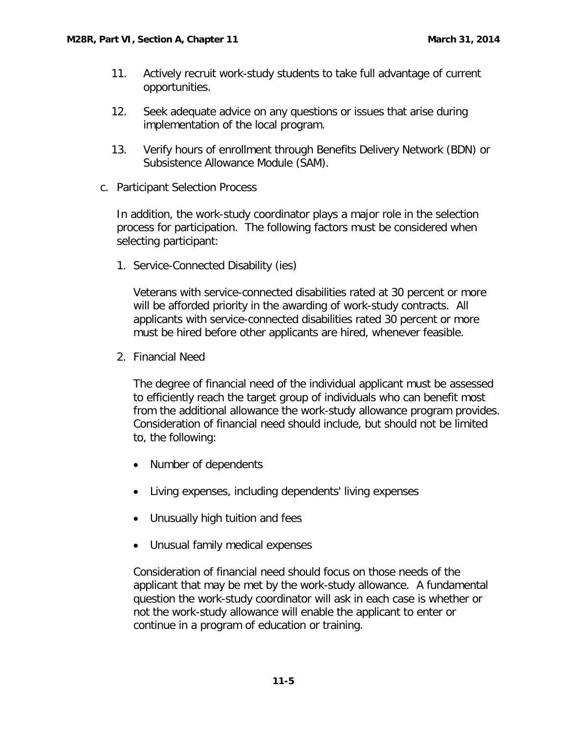- 11. Actively recruit work-study students to take full advantage of current opportunities.
- 12. Seek adequate advice on any questions or issues that arise during implementation of the local program.
- 13. Verify hours of enrollment through Benefits Delivery Network (BDN) or Subsistence Allowance Module (SAM).
- <span id="page-5-0"></span>c. Participant Selection Process

In addition, the work-study coordinator plays a major role in the selection process for participation. The following factors must be considered when selecting participant:

1. Service-Connected Disability (ies)

Veterans with service-connected disabilities rated at 30 percent or more will be afforded priority in the awarding of work-study contracts. All applicants with service-connected disabilities rated 30 percent or more must be hired before other applicants are hired, whenever feasible.

2. Financial Need

The degree of financial need of the individual applicant must be assessed to efficiently reach the target group of individuals who can benefit most from the additional allowance the work-study allowance program provides. Consideration of financial need should include, but should not be limited to, the following:

- Number of dependents
- Living expenses, including dependents' living expenses
- Unusually high tuition and fees
- Unusual family medical expenses

Consideration of financial need should focus on those needs of the applicant that may be met by the work-study allowance. A fundamental question the work-study coordinator will ask in each case is whether or not the work-study allowance will enable the applicant to enter or continue in a program of education or training.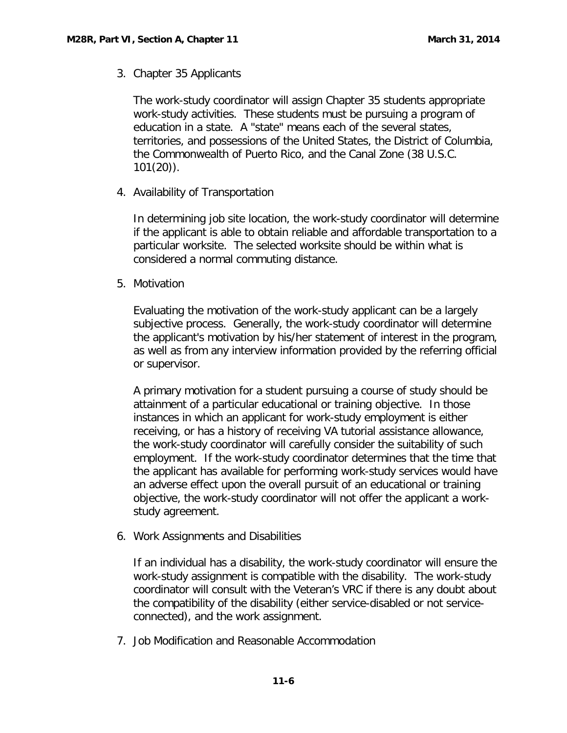3. Chapter 35 Applicants

The work-study coordinator will assign Chapter 35 students appropriate work-study activities. These students must be pursuing a program of education in a state. A "state" means each of the several states, territories, and possessions of the United States, the District of Columbia, the Commonwealth of Puerto Rico, and the Canal Zone [\(38 U.S.C.](http://frwebgate.access.gpo.gov/cgi-bin/getdoc.cgi?dbname=browse_usc&docid=Cite:+38USC101)  [101\(20\)\)](http://frwebgate.access.gpo.gov/cgi-bin/getdoc.cgi?dbname=browse_usc&docid=Cite:+38USC101).

4. Availability of Transportation

In determining job site location, the work-study coordinator will determine if the applicant is able to obtain reliable and affordable transportation to a particular worksite. The selected worksite should be within what is considered a normal commuting distance.

5. Motivation

Evaluating the motivation of the work-study applicant can be a largely subjective process. Generally, the work-study coordinator will determine the applicant's motivation by his/her statement of interest in the program, as well as from any interview information provided by the referring official or supervisor.

A primary motivation for a student pursuing a course of study should be attainment of a particular educational or training objective. In those instances in which an applicant for work-study employment is either receiving, or has a history of receiving VA tutorial assistance allowance, the work-study coordinator will carefully consider the suitability of such employment. If the work-study coordinator determines that the time that the applicant has available for performing work-study services would have an adverse effect upon the overall pursuit of an educational or training objective, the work-study coordinator will not offer the applicant a workstudy agreement.

6. Work Assignments and Disabilities

If an individual has a disability, the work-study coordinator will ensure the work-study assignment is compatible with the disability. The work-study coordinator will consult with the Veteran's VRC if there is any doubt about the compatibility of the disability (either service-disabled or not serviceconnected), and the work assignment.

7. Job Modification and Reasonable Accommodation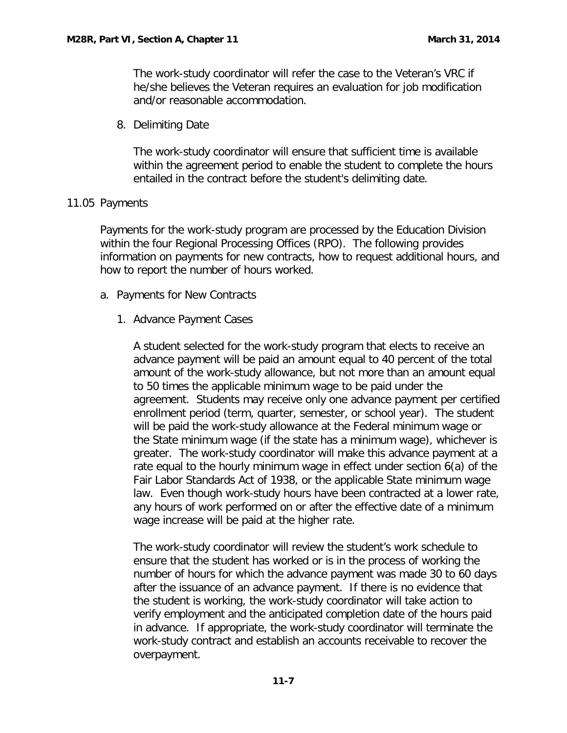The work-study coordinator will refer the case to the Veteran's VRC if he/she believes the Veteran requires an evaluation for job modification and/or reasonable accommodation.

8. Delimiting Date

The work-study coordinator will ensure that sufficient time is available within the agreement period to enable the student to complete the hours entailed in the contract before the student's delimiting date.

#### <span id="page-7-0"></span>11.05 Payments

Payments for the work-study program are processed by the Education Division within the four Regional Processing Offices (RPO). The following provides information on payments for new contracts, how to request additional hours, and how to report the number of hours worked.

- <span id="page-7-1"></span>a. Payments for New Contracts
	- 1. Advance Payment Cases

A student selected for the work-study program that elects to receive an advance payment will be paid an amount equal to 40 percent of the total amount of the work-study allowance, but not more than an amount equal to 50 times the applicable minimum wage to be paid under the agreement. Students may receive only one advance payment per certified enrollment period (term, quarter, semester, or school year). The student will be paid the work-study allowance at the Federal minimum wage or the State minimum wage (if the state has a minimum wage), whichever is greater. The work-study coordinator will make this advance payment at a rate equal to the hourly minimum wage in effect under section 6(a) of the Fair Labor Standards Act of 1938, or the applicable State minimum wage law. Even though work-study hours have been contracted at a lower rate, any hours of work performed on or after the effective date of a minimum wage increase will be paid at the higher rate.

The work-study coordinator will review the student's work schedule to ensure that the student has worked or is in the process of working the number of hours for which the advance payment was made 30 to 60 days after the issuance of an advance payment. If there is no evidence that the student is working, the work-study coordinator will take action to verify employment and the anticipated completion date of the hours paid in advance. If appropriate, the work-study coordinator will terminate the work-study contract and establish an accounts receivable to recover the overpayment.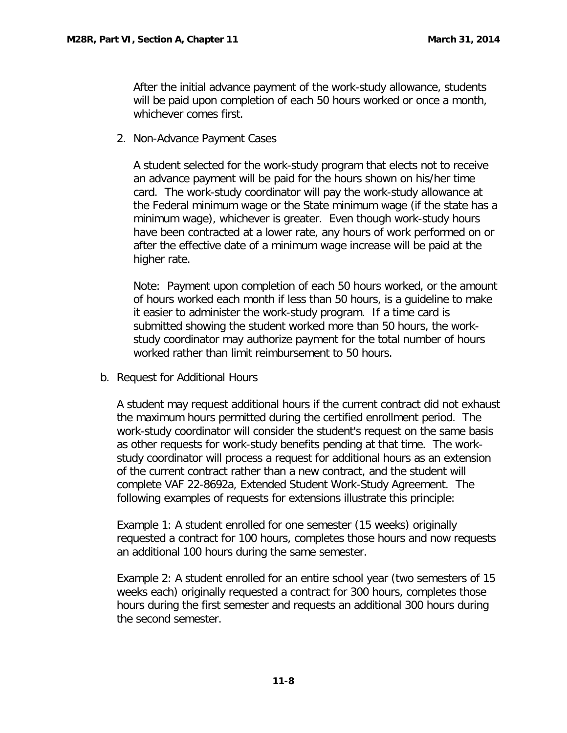After the initial advance payment of the work-study allowance, students will be paid upon completion of each 50 hours worked or once a month, whichever comes first.

2. Non-Advance Payment Cases

A student selected for the work-study program that elects not to receive an advance payment will be paid for the hours shown on his/her time card. The work-study coordinator will pay the work-study allowance at the Federal minimum wage or the State minimum wage (if the state has a minimum wage), whichever is greater. Even though work-study hours have been contracted at a lower rate, any hours of work performed on or after the effective date of a minimum wage increase will be paid at the higher rate.

Note: Payment upon completion of each 50 hours worked, or the amount of hours worked each month if less than 50 hours, is a guideline to make it easier to administer the work-study program. If a time card is submitted showing the student worked more than 50 hours, the workstudy coordinator may authorize payment for the total number of hours worked rather than limit reimbursement to 50 hours.

<span id="page-8-0"></span>b. Request for Additional Hours

A student may request additional hours if the current contract did not exhaust the maximum hours permitted during the certified enrollment period. The work-study coordinator will consider the student's request on the same basis as other requests for work-study benefits pending at that time. The workstudy coordinator will process a request for additional hours as an extension of the current contract rather than a new contract, and the student will complete VAF 22-8692a, Extended Student Work-Study Agreement. The following examples of requests for extensions illustrate this principle:

Example 1: A student enrolled for one semester (15 weeks) originally requested a contract for 100 hours, completes those hours and now requests an additional 100 hours during the same semester.

Example 2: A student enrolled for an entire school year (two semesters of 15 weeks each) originally requested a contract for 300 hours, completes those hours during the first semester and requests an additional 300 hours during the second semester.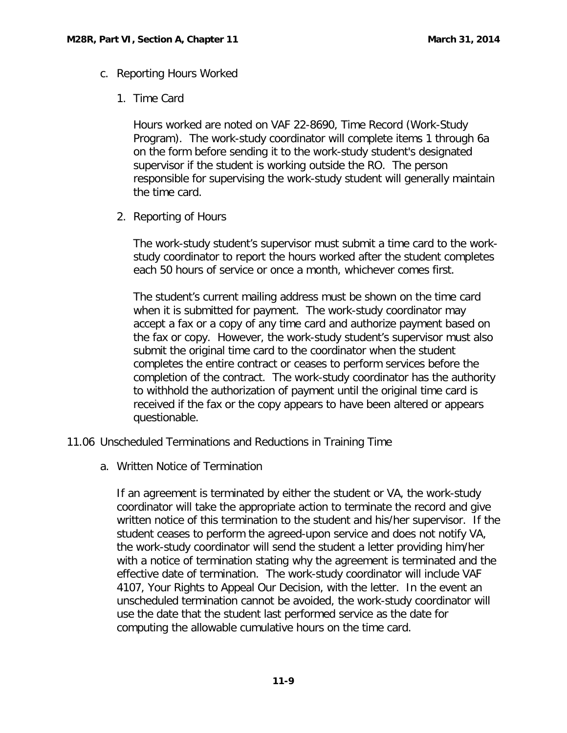- <span id="page-9-0"></span>c. Reporting Hours Worked
	- 1. Time Card

Hours worked are noted on VAF 22-8690, Time Record (Work-Study Program). The work-study coordinator will complete items 1 through 6a on the form before sending it to the work-study student's designated supervisor if the student is working outside the RO. The person responsible for supervising the work-study student will generally maintain the time card.

2. Reporting of Hours

The work-study student's supervisor must submit a time card to the workstudy coordinator to report the hours worked after the student completes each 50 hours of service or once a month, whichever comes first.

The student's current mailing address must be shown on the time card when it is submitted for payment. The work-study coordinator may accept a fax or a copy of any time card and authorize payment based on the fax or copy. However, the work-study student's supervisor must also submit the original time card to the coordinator when the student completes the entire contract or ceases to perform services before the completion of the contract. The work-study coordinator has the authority to withhold the authorization of payment until the original time card is received if the fax or the copy appears to have been altered or appears questionable.

- <span id="page-9-2"></span><span id="page-9-1"></span>11.06 Unscheduled Terminations and Reductions in Training Time
	- a. Written Notice of Termination

If an agreement is terminated by either the student or VA, the work-study coordinator will take the appropriate action to terminate the record and give written notice of this termination to the student and his/her supervisor. If the student ceases to perform the agreed-upon service and does not notify VA, the work-study coordinator will send the student a letter providing him/her with a notice of termination stating why the agreement is terminated and the effective date of termination. The work-study coordinator will include VAF 4107, Your Rights to Appeal Our Decision, with the letter. In the event an unscheduled termination cannot be avoided, the work-study coordinator will use the date that the student last performed service as the date for computing the allowable cumulative hours on the time card.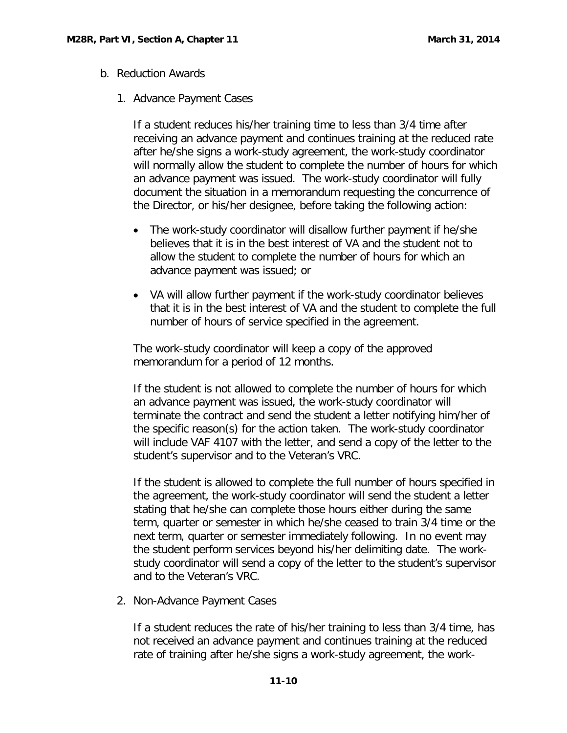## <span id="page-10-0"></span>b. Reduction Awards

# 1. Advance Payment Cases

If a student reduces his/her training time to less than 3/4 time after receiving an advance payment and continues training at the reduced rate after he/she signs a work-study agreement, the work-study coordinator will normally allow the student to complete the number of hours for which an advance payment was issued. The work-study coordinator will fully document the situation in a memorandum requesting the concurrence of the Director, or his/her designee, before taking the following action:

- The work-study coordinator will disallow further payment if he/she believes that it is in the best interest of VA and the student not to allow the student to complete the number of hours for which an advance payment was issued; or
- VA will allow further payment if the work-study coordinator believes that it is in the best interest of VA and the student to complete the full number of hours of service specified in the agreement.

The work-study coordinator will keep a copy of the approved memorandum for a period of 12 months.

If the student is not allowed to complete the number of hours for which an advance payment was issued, the work-study coordinator will terminate the contract and send the student a letter notifying him/her of the specific reason(s) for the action taken. The work-study coordinator will include VAF 4107 with the letter, and send a copy of the letter to the student's supervisor and to the Veteran's VRC.

If the student is allowed to complete the full number of hours specified in the agreement, the work-study coordinator will send the student a letter stating that he/she can complete those hours either during the same term, quarter or semester in which he/she ceased to train 3/4 time or the next term, quarter or semester immediately following. In no event may the student perform services beyond his/her delimiting date. The workstudy coordinator will send a copy of the letter to the student's supervisor and to the Veteran's VRC.

2. Non-Advance Payment Cases

If a student reduces the rate of his/her training to less than 3/4 time, has not received an advance payment and continues training at the reduced rate of training after he/she signs a work-study agreement, the work-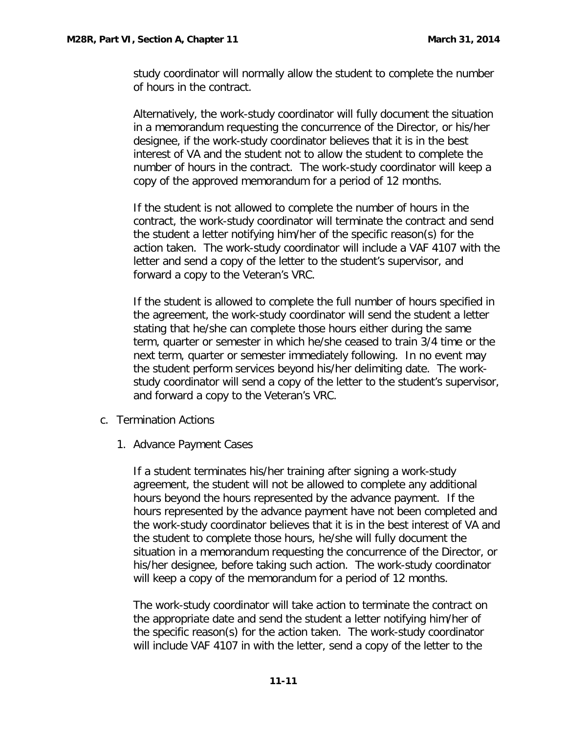study coordinator will normally allow the student to complete the number of hours in the contract.

Alternatively, the work-study coordinator will fully document the situation in a memorandum requesting the concurrence of the Director, or his/her designee, if the work-study coordinator believes that it is in the best interest of VA and the student not to allow the student to complete the number of hours in the contract. The work-study coordinator will keep a copy of the approved memorandum for a period of 12 months.

If the student is not allowed to complete the number of hours in the contract, the work-study coordinator will terminate the contract and send the student a letter notifying him/her of the specific reason(s) for the action taken. The work-study coordinator will include a VAF 4107 with the letter and send a copy of the letter to the student's supervisor, and forward a copy to the Veteran's VRC.

If the student is allowed to complete the full number of hours specified in the agreement, the work-study coordinator will send the student a letter stating that he/she can complete those hours either during the same term, quarter or semester in which he/she ceased to train 3/4 time or the next term, quarter or semester immediately following. In no event may the student perform services beyond his/her delimiting date. The workstudy coordinator will send a copy of the letter to the student's supervisor, and forward a copy to the Veteran's VRC.

- <span id="page-11-0"></span>c. Termination Actions
	- 1. Advance Payment Cases

If a student terminates his/her training after signing a work-study agreement, the student will not be allowed to complete any additional hours beyond the hours represented by the advance payment. If the hours represented by the advance payment have not been completed and the work-study coordinator believes that it is in the best interest of VA and the student to complete those hours, he/she will fully document the situation in a memorandum requesting the concurrence of the Director, or his/her designee, before taking such action. The work-study coordinator will keep a copy of the memorandum for a period of 12 months.

The work-study coordinator will take action to terminate the contract on the appropriate date and send the student a letter notifying him/her of the specific reason(s) for the action taken. The work-study coordinator will include VAF 4107 in with the letter, send a copy of the letter to the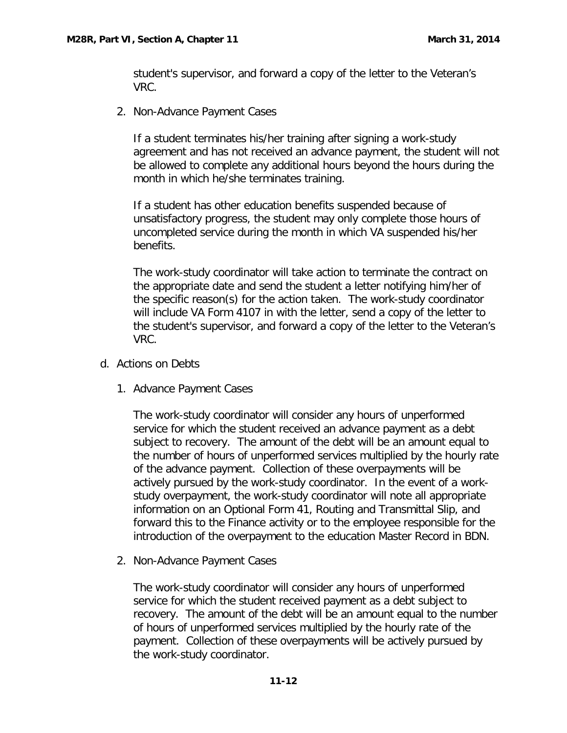student's supervisor, and forward a copy of the letter to the Veteran's VRC.

2. Non-Advance Payment Cases

If a student terminates his/her training after signing a work-study agreement and has not received an advance payment, the student will not be allowed to complete any additional hours beyond the hours during the month in which he/she terminates training.

If a student has other education benefits suspended because of unsatisfactory progress, the student may only complete those hours of uncompleted service during the month in which VA suspended his/her benefits.

The work-study coordinator will take action to terminate the contract on the appropriate date and send the student a letter notifying him/her of the specific reason(s) for the action taken. The work-study coordinator will include VA Form 4107 in with the letter, send a copy of the letter to the student's supervisor, and forward a copy of the letter to the Veteran's VRC.

- <span id="page-12-0"></span>d. Actions on Debts
	- 1. Advance Payment Cases

The work-study coordinator will consider any hours of unperformed service for which the student received an advance payment as a debt subject to recovery. The amount of the debt will be an amount equal to the number of hours of unperformed services multiplied by the hourly rate of the advance payment. Collection of these overpayments will be actively pursued by the work-study coordinator. In the event of a workstudy overpayment, the work-study coordinator will note all appropriate information on an Optional Form 41, Routing and Transmittal Slip, and forward this to the Finance activity or to the employee responsible for the introduction of the overpayment to the education Master Record in BDN.

2. Non-Advance Payment Cases

The work-study coordinator will consider any hours of unperformed service for which the student received payment as a debt subject to recovery. The amount of the debt will be an amount equal to the number of hours of unperformed services multiplied by the hourly rate of the payment. Collection of these overpayments will be actively pursued by the work-study coordinator.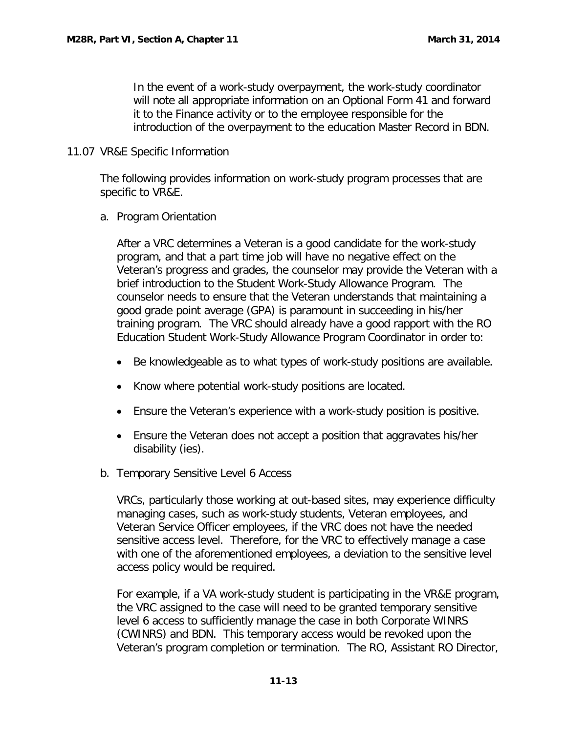In the event of a work-study overpayment, the work-study coordinator will note all appropriate information on an Optional Form 41 and forward it to the Finance activity or to the employee responsible for the introduction of the overpayment to the education Master Record in BDN.

<span id="page-13-0"></span>11.07 VR&E Specific Information

The following provides information on work-study program processes that are specific to VR&E.

<span id="page-13-1"></span>a. Program Orientation

After a VRC determines a Veteran is a good candidate for the work-study program, and that a part time job will have no negative effect on the Veteran's progress and grades, the counselor may provide the Veteran with a brief introduction to the Student Work-Study Allowance Program. The counselor needs to ensure that the Veteran understands that maintaining a good grade point average (GPA) is paramount in succeeding in his/her training program. The VRC should already have a good rapport with the RO Education Student Work-Study Allowance Program Coordinator in order to:

- Be knowledgeable as to what types of work-study positions are available.
- Know where potential work-study positions are located.
- Ensure the Veteran's experience with a work-study position is positive.
- Ensure the Veteran does not accept a position that aggravates his/her disability (ies).
- <span id="page-13-2"></span>b. Temporary Sensitive Level 6 Access

VRCs, particularly those working at out-based sites, may experience difficulty managing cases, such as work-study students, Veteran employees, and Veteran Service Officer employees, if the VRC does not have the needed sensitive access level. Therefore, for the VRC to effectively manage a case with one of the aforementioned employees, a deviation to the sensitive level access policy would be required.

For example, if a VA work-study student is participating in the VR&E program, the VRC assigned to the case will need to be granted temporary sensitive level 6 access to sufficiently manage the case in both Corporate WINRS (CWINRS) and BDN. This temporary access would be revoked upon the Veteran's program completion or termination. The RO, Assistant RO Director,